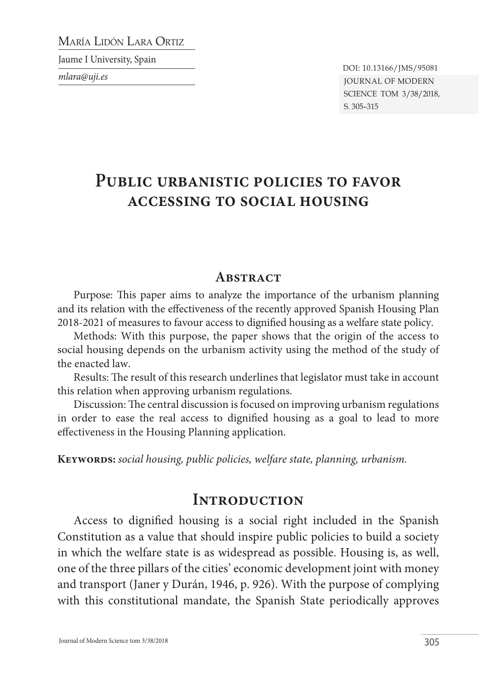María Lidón Lara Ortiz

Jaume I University, Spain

*mlara@uji.es*

Journal of Modern Science tom 3/38/2018, s. 305–315 DOI: 10.13166/JMS/95081

# **Public urbanistic policies to favor accessing to social housing**

#### **ABSTRACT**

Purpose: This paper aims to analyze the importance of the urbanism planning and its relation with the effectiveness of the recently approved Spanish Housing Plan 2018-2021 of measures to favour access to dignified housing as a welfare state policy.

Methods: With this purpose, the paper shows that the origin of the access to social housing depends on the urbanism activity using the method of the study of the enacted law.

Results: The result of this research underlines that legislator must take in account this relation when approving urbanism regulations.

Discussion: The central discussion is focused on improving urbanism regulations in order to ease the real access to dignified housing as a goal to lead to more effectiveness in the Housing Planning application.

**Keywords:** *social housing, public policies, welfare state, planning, urbanism.*

#### **Introduction**

Access to dignified housing is a social right included in the Spanish Constitution as a value that should inspire public policies to build a society in which the welfare state is as widespread as possible. Housing is, as well, one of the three pillars of the cities' economic development joint with money and transport (Janer y Durán, 1946, p. 926). With the purpose of complying with this constitutional mandate, the Spanish State periodically approves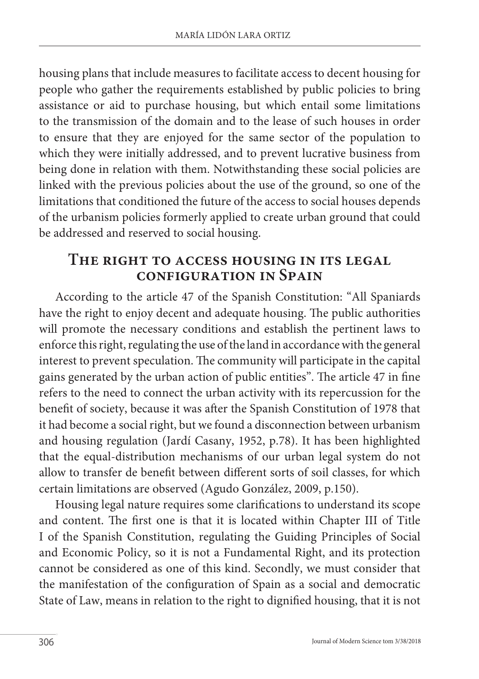housing plans that include measures to facilitate access to decent housing for people who gather the requirements established by public policies to bring assistance or aid to purchase housing, but which entail some limitations to the transmission of the domain and to the lease of such houses in order to ensure that they are enjoyed for the same sector of the population to which they were initially addressed, and to prevent lucrative business from being done in relation with them. Notwithstanding these social policies are linked with the previous policies about the use of the ground, so one of the limitations that conditioned the future of the access to social houses depends of the urbanism policies formerly applied to create urban ground that could be addressed and reserved to social housing.

#### **The right to access housing in its legal configuration in Spain**

According to the article 47 of the Spanish Constitution: "All Spaniards have the right to enjoy decent and adequate housing. The public authorities will promote the necessary conditions and establish the pertinent laws to enforce this right, regulating the use of the land in accordance with the general interest to prevent speculation. The community will participate in the capital gains generated by the urban action of public entities". The article 47 in fine refers to the need to connect the urban activity with its repercussion for the benefit of society, because it was after the Spanish Constitution of 1978 that it had become a social right, but we found a disconnection between urbanism and housing regulation (Jardí Casany, 1952, p.78). It has been highlighted that the equal-distribution mechanisms of our urban legal system do not allow to transfer de benefit between different sorts of soil classes, for which certain limitations are observed (Agudo González, 2009, p.150).

Housing legal nature requires some clarifications to understand its scope and content. The first one is that it is located within Chapter III of Title I of the Spanish Constitution, regulating the Guiding Principles of Social and Economic Policy, so it is not a Fundamental Right, and its protection cannot be considered as one of this kind. Secondly, we must consider that the manifestation of the configuration of Spain as a social and democratic State of Law, means in relation to the right to dignified housing, that it is not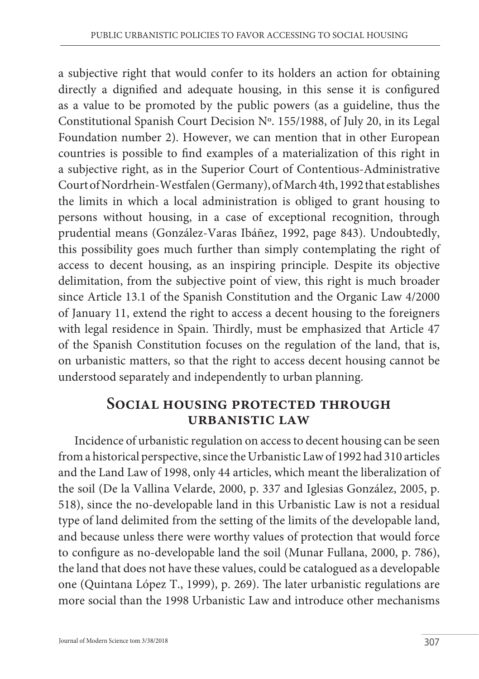a subjective right that would confer to its holders an action for obtaining directly a dignified and adequate housing, in this sense it is configured as a value to be promoted by the public powers (as a guideline, thus the Constitutional Spanish Court Decision Nº. 155/1988, of July 20, in its Legal Foundation number 2). However, we can mention that in other European countries is possible to find examples of a materialization of this right in a subjective right, as in the Superior Court of Contentious-Administrative Court of Nordrhein-Westfalen (Germany), of March 4th, 1992 that establishes the limits in which a local administration is obliged to grant housing to persons without housing, in a case of exceptional recognition, through prudential means (González-Varas Ibáñez, 1992, page 843). Undoubtedly, this possibility goes much further than simply contemplating the right of access to decent housing, as an inspiring principle. Despite its objective delimitation, from the subjective point of view, this right is much broader since Article 13.1 of the Spanish Constitution and the Organic Law 4/2000 of January 11, extend the right to access a decent housing to the foreigners with legal residence in Spain. Thirdly, must be emphasized that Article 47 of the Spanish Constitution focuses on the regulation of the land, that is, on urbanistic matters, so that the right to access decent housing cannot be understood separately and independently to urban planning.

### **Social housing protected through urbanistic law**

Incidence of urbanistic regulation on access to decent housing can be seen from a historical perspective, since the Urbanistic Law of 1992 had 310 articles and the Land Law of 1998, only 44 articles, which meant the liberalization of the soil (De la Vallina Velarde, 2000, p. 337 and Iglesias González, 2005, p. 518), since the no-developable land in this Urbanistic Law is not a residual type of land delimited from the setting of the limits of the developable land, and because unless there were worthy values of protection that would force to configure as no-developable land the soil (Munar Fullana, 2000, p. 786), the land that does not have these values, could be catalogued as a developable one (Quintana López T., 1999), p. 269). The later urbanistic regulations are more social than the 1998 Urbanistic Law and introduce other mechanisms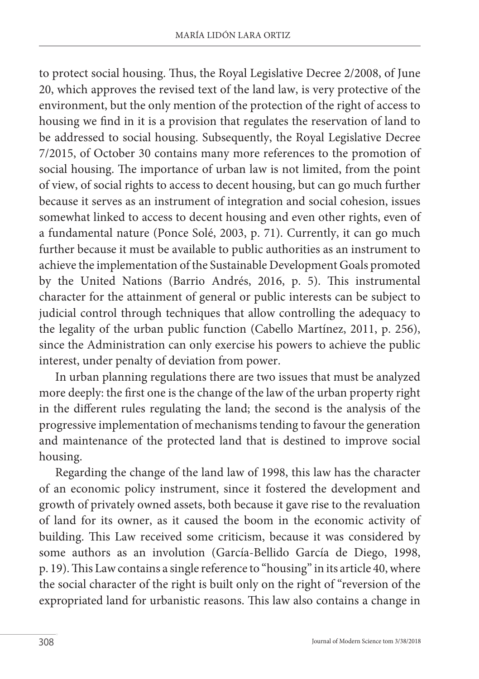to protect social housing. Thus, the Royal Legislative Decree 2/2008, of June 20, which approves the revised text of the land law, is very protective of the environment, but the only mention of the protection of the right of access to housing we find in it is a provision that regulates the reservation of land to be addressed to social housing. Subsequently, the Royal Legislative Decree 7/2015, of October 30 contains many more references to the promotion of social housing. The importance of urban law is not limited, from the point of view, of social rights to access to decent housing, but can go much further because it serves as an instrument of integration and social cohesion, issues somewhat linked to access to decent housing and even other rights, even of a fundamental nature (Ponce Solé, 2003, p. 71). Currently, it can go much further because it must be available to public authorities as an instrument to achieve the implementation of the Sustainable Development Goals promoted by the United Nations (Barrio Andrés, 2016, p. 5). This instrumental character for the attainment of general or public interests can be subject to judicial control through techniques that allow controlling the adequacy to the legality of the urban public function (Cabello Martínez, 2011, p. 256), since the Administration can only exercise his powers to achieve the public interest, under penalty of deviation from power.

In urban planning regulations there are two issues that must be analyzed more deeply: the first one is the change of the law of the urban property right in the different rules regulating the land; the second is the analysis of the progressive implementation of mechanisms tending to favour the generation and maintenance of the protected land that is destined to improve social housing.

Regarding the change of the land law of 1998, this law has the character of an economic policy instrument, since it fostered the development and growth of privately owned assets, both because it gave rise to the revaluation of land for its owner, as it caused the boom in the economic activity of building. This Law received some criticism, because it was considered by some authors as an involution (García-Bellido García de Diego, 1998, p. 19). This Law contains a single reference to "housing" in its article 40, where the social character of the right is built only on the right of "reversion of the expropriated land for urbanistic reasons. This law also contains a change in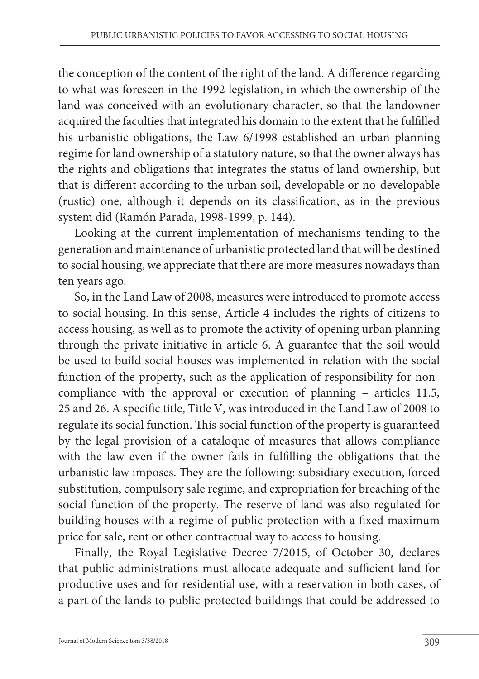the conception of the content of the right of the land. A difference regarding to what was foreseen in the 1992 legislation, in which the ownership of the land was conceived with an evolutionary character, so that the landowner acquired the faculties that integrated his domain to the extent that he fulfilled his urbanistic obligations, the Law 6/1998 established an urban planning regime for land ownership of a statutory nature, so that the owner always has the rights and obligations that integrates the status of land ownership, but that is different according to the urban soil, developable or no-developable (rustic) one, although it depends on its classification, as in the previous system did (Ramón Parada, 1998-1999, p. 144).

Looking at the current implementation of mechanisms tending to the generation and maintenance of urbanistic protected land that will be destined to social housing, we appreciate that there are more measures nowadays than ten years ago.

So, in the Land Law of 2008, measures were introduced to promote access to social housing. In this sense, Article 4 includes the rights of citizens to access housing, as well as to promote the activity of opening urban planning through the private initiative in article 6. A guarantee that the soil would be used to build social houses was implemented in relation with the social function of the property, such as the application of responsibility for noncompliance with the approval or execution of planning – articles 11.5, 25 and 26. A specific title, Title V, was introduced in the Land Law of 2008 to regulate its social function. This social function of the property is guaranteed by the legal provision of a cataloque of measures that allows compliance with the law even if the owner fails in fulfilling the obligations that the urbanistic law imposes. They are the following: subsidiary execution, forced substitution, compulsory sale regime, and expropriation for breaching of the social function of the property. The reserve of land was also regulated for building houses with a regime of public protection with a fixed maximum price for sale, rent or other contractual way to access to housing.

Finally, the Royal Legislative Decree 7/2015, of October 30, declares that public administrations must allocate adequate and sufficient land for productive uses and for residential use, with a reservation in both cases, of a part of the lands to public protected buildings that could be addressed to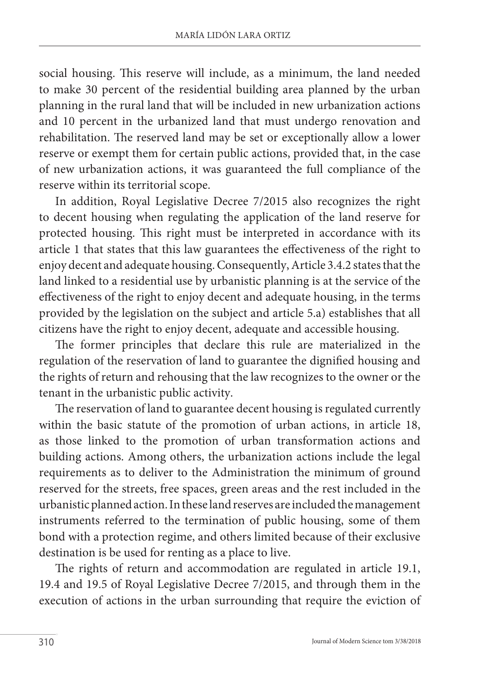social housing. This reserve will include, as a minimum, the land needed to make 30 percent of the residential building area planned by the urban planning in the rural land that will be included in new urbanization actions and 10 percent in the urbanized land that must undergo renovation and rehabilitation. The reserved land may be set or exceptionally allow a lower reserve or exempt them for certain public actions, provided that, in the case of new urbanization actions, it was guaranteed the full compliance of the reserve within its territorial scope.

In addition, Royal Legislative Decree 7/2015 also recognizes the right to decent housing when regulating the application of the land reserve for protected housing. This right must be interpreted in accordance with its article 1 that states that this law guarantees the effectiveness of the right to enjoy decent and adequate housing. Consequently, Article 3.4.2 states that the land linked to a residential use by urbanistic planning is at the service of the effectiveness of the right to enjoy decent and adequate housing, in the terms provided by the legislation on the subject and article 5.a) establishes that all citizens have the right to enjoy decent, adequate and accessible housing.

The former principles that declare this rule are materialized in the regulation of the reservation of land to guarantee the dignified housing and the rights of return and rehousing that the law recognizes to the owner or the tenant in the urbanistic public activity.

The reservation of land to guarantee decent housing is regulated currently within the basic statute of the promotion of urban actions, in article 18, as those linked to the promotion of urban transformation actions and building actions. Among others, the urbanization actions include the legal requirements as to deliver to the Administration the minimum of ground reserved for the streets, free spaces, green areas and the rest included in the urbanistic planned action. In these land reserves are included the management instruments referred to the termination of public housing, some of them bond with a protection regime, and others limited because of their exclusive destination is be used for renting as a place to live.

The rights of return and accommodation are regulated in article 19.1, 19.4 and 19.5 of Royal Legislative Decree 7/2015, and through them in the execution of actions in the urban surrounding that require the eviction of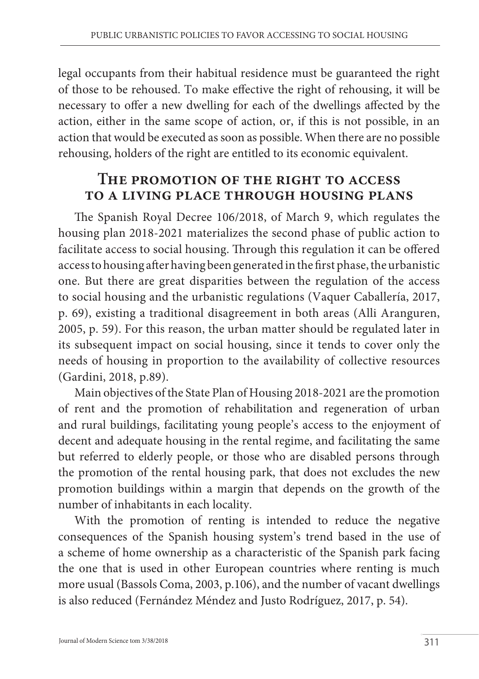legal occupants from their habitual residence must be guaranteed the right of those to be rehoused. To make effective the right of rehousing, it will be necessary to offer a new dwelling for each of the dwellings affected by the action, either in the same scope of action, or, if this is not possible, in an action that would be executed as soon as possible. When there are no possible rehousing, holders of the right are entitled to its economic equivalent.

## **The promotion of the right to access to a living place through housing plans**

The Spanish Royal Decree 106/2018, of March 9, which regulates the housing plan 2018-2021 materializes the second phase of public action to facilitate access to social housing. Through this regulation it can be offered access to housing after having been generated in the first phase, the urbanistic one. But there are great disparities between the regulation of the access to social housing and the urbanistic regulations (Vaquer Caballería, 2017, p. 69), existing a traditional disagreement in both areas (Alli Aranguren, 2005, p. 59). For this reason, the urban matter should be regulated later in its subsequent impact on social housing, since it tends to cover only the needs of housing in proportion to the availability of collective resources (Gardini, 2018, p.89).

Main objectives of the State Plan of Housing 2018-2021 are the promotion of rent and the promotion of rehabilitation and regeneration of urban and rural buildings, facilitating young people's access to the enjoyment of decent and adequate housing in the rental regime, and facilitating the same but referred to elderly people, or those who are disabled persons through the promotion of the rental housing park, that does not excludes the new promotion buildings within a margin that depends on the growth of the number of inhabitants in each locality.

With the promotion of renting is intended to reduce the negative consequences of the Spanish housing system's trend based in the use of a scheme of home ownership as a characteristic of the Spanish park facing the one that is used in other European countries where renting is much more usual (Bassols Coma, 2003, p.106), and the number of vacant dwellings is also reduced (Fernández Méndez and Justo Rodríguez, 2017, p. 54).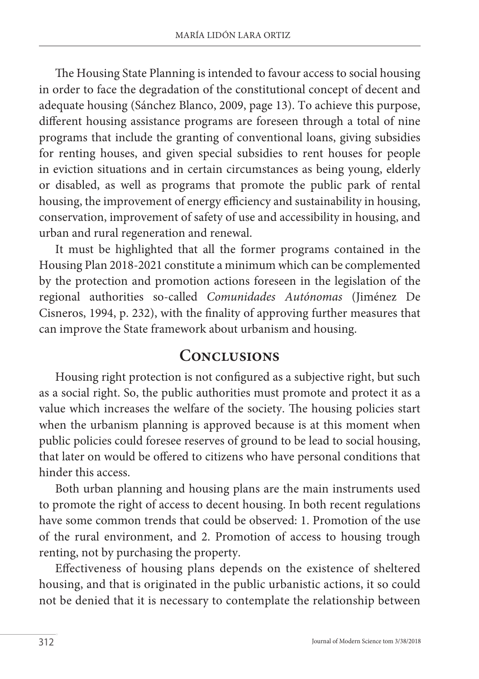The Housing State Planning is intended to favour access to social housing in order to face the degradation of the constitutional concept of decent and adequate housing (Sánchez Blanco, 2009, page 13). To achieve this purpose, different housing assistance programs are foreseen through a total of nine programs that include the granting of conventional loans, giving subsidies for renting houses, and given special subsidies to rent houses for people in eviction situations and in certain circumstances as being young, elderly or disabled, as well as programs that promote the public park of rental housing, the improvement of energy efficiency and sustainability in housing, conservation, improvement of safety of use and accessibility in housing, and urban and rural regeneration and renewal.

It must be highlighted that all the former programs contained in the Housing Plan 2018-2021 constitute a minimum which can be complemented by the protection and promotion actions foreseen in the legislation of the regional authorities so-called *Comunidades Autónomas* (Jiménez De Cisneros, 1994, p. 232), with the finality of approving further measures that can improve the State framework about urbanism and housing.

# **Conclusions**

Housing right protection is not configured as a subjective right, but such as a social right. So, the public authorities must promote and protect it as a value which increases the welfare of the society. The housing policies start when the urbanism planning is approved because is at this moment when public policies could foresee reserves of ground to be lead to social housing, that later on would be offered to citizens who have personal conditions that hinder this access.

Both urban planning and housing plans are the main instruments used to promote the right of access to decent housing. In both recent regulations have some common trends that could be observed: 1. Promotion of the use of the rural environment, and 2. Promotion of access to housing trough renting, not by purchasing the property.

Effectiveness of housing plans depends on the existence of sheltered housing, and that is originated in the public urbanistic actions, it so could not be denied that it is necessary to contemplate the relationship between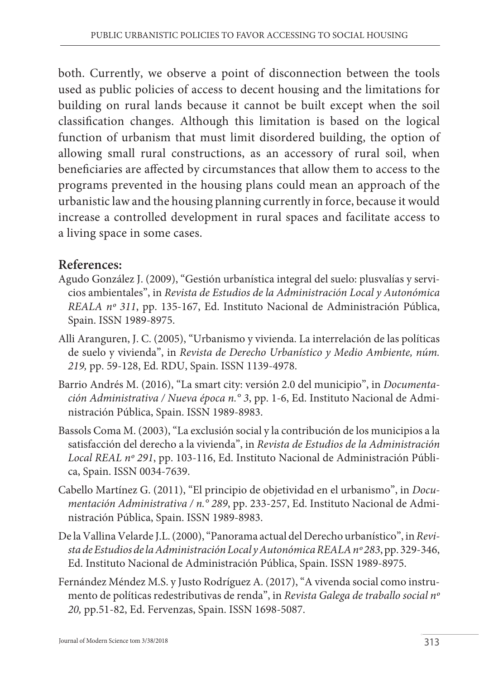both. Currently, we observe a point of disconnection between the tools used as public policies of access to decent housing and the limitations for building on rural lands because it cannot be built except when the soil classification changes. Although this limitation is based on the logical function of urbanism that must limit disordered building, the option of allowing small rural constructions, as an accessory of rural soil, when beneficiaries are affected by circumstances that allow them to access to the programs prevented in the housing plans could mean an approach of the urbanistic law and the housing planning currently in force, because it would increase a controlled development in rural spaces and facilitate access to a living space in some cases.

#### **References:**

- Agudo González J. (2009), "Gestión urbanística integral del suelo: plusvalías y servicios ambientales", in *Revista de Estudios de la Administración Local y Autonómica REALA nº 311*, pp. 135-167, Ed. Instituto Nacional de Administración Pública, Spain. ISSN 1989-8975.
- Alli Aranguren, J. C. (2005), "Urbanismo y vivienda. La interrelación de las políticas de suelo y vivienda", in *Revista de Derecho Urbanístico y Medio Ambiente, núm. 219,* pp. 59-128, Ed. RDU, Spain. ISSN 1139-4978.
- Barrio Andrés M. (2016), "La smart city: versión 2.0 del municipio", in *Documentación Administrativa / Nueva época n.° 3*, pp. 1-6, Ed. Instituto Nacional de Administración Pública, Spain. ISSN 1989-8983.
- Bassols Coma M. (2003), "La exclusión social y la contribución de los municipios a la satisfacción del derecho a la vivienda", in *Revista de Estudios de la Administración Local REAL nº 291*, pp. 103-116, Ed. Instituto Nacional de Administración Pública, Spain. ISSN 0034-7639.
- Cabello Martínez G. (2011), "El principio de objetividad en el urbanismo", in *Documentación Administrativa / n.° 289*, pp. 233-257, Ed. Instituto Nacional de Administración Pública, Spain. ISSN 1989-8983.
- De la Vallina Velarde J.L. (2000), "Panorama actual del Derecho urbanístico", in *Revista de Estudios de la Administración Local y Autonómica REALA nº 283*, pp. 329-346, Ed. Instituto Nacional de Administración Pública, Spain. ISSN 1989-8975.
- Fernández Méndez M.S. y Justo Rodríguez A. (2017), "A vivenda social como instrumento de políticas redestributivas de renda", in *Revista Galega de traballo social nº 20,* pp.51-82, Ed. Fervenzas, Spain. ISSN 1698-5087.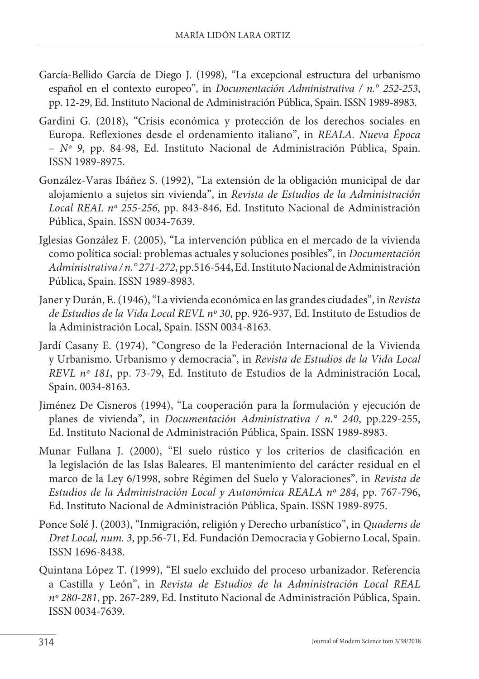- García-Bellido García de Diego J. (1998), "La excepcional estructura del urbanismo español en el contexto europeo", in *Documentación Administrativa / n.° 252-253*, pp. 12-29, Ed. Instituto Nacional de Administración Pública, Spain. ISSN 1989-8983.
- Gardini G. (2018), "Crisis económica y protección de los derechos sociales en Europa. Reflexiones desde el ordenamiento italiano", in *REALA. Nueva Época – Nº 9*, pp. 84-98, Ed. Instituto Nacional de Administración Pública, Spain. ISSN 1989-8975.
- González-Varas Ibáñez S. (1992), "La extensión de la obligación municipal de dar alojamiento a sujetos sin vivienda", in *Revista de Estudios de la Administración Local REAL nº 255-256*, pp. 843-846, Ed. Instituto Nacional de Administración Pública, Spain. ISSN 0034-7639.
- Iglesias González F. (2005), "La intervención pública en el mercado de la vivienda como política social: problemas actuales y soluciones posibles", in *Documentación Administrativa / n.° 271-272*, pp.516-544, Ed. Instituto Nacional de Administración Pública, Spain. ISSN 1989-8983.
- Janer y Durán, E. (1946), "La vivienda económica en las grandes ciudades", in *Revista de Estudios de la Vida Local REVL nº 30*, pp. 926-937, Ed. Instituto de Estudios de la Administración Local, Spain. ISSN 0034-8163.
- Jardí Casany E. (1974), "Congreso de la Federación Internacional de la Vivienda y Urbanismo. Urbanismo y democracia", in *Revista de Estudios de la Vida Local REVL nº 181*, pp. 73-79, Ed. Instituto de Estudios de la Administración Local, Spain. 0034-8163.
- Jiménez De Cisneros (1994), "La cooperación para la formulación y ejecución de planes de vivienda", in *Documentación Administrativa / n.° 240*, pp.229-255, Ed. Instituto Nacional de Administración Pública, Spain. ISSN 1989-8983.
- Munar Fullana J. (2000), "El suelo rústico y los criterios de clasificación en la legislación de las Islas Baleares. El mantenimiento del carácter residual en el marco de la Ley 6/1998, sobre Régimen del Suelo y Valoraciones", in *Revista de Estudios de la Administración Local y Autonómica REALA nº 284*, pp. 767-796, Ed. Instituto Nacional de Administración Pública, Spain. ISSN 1989-8975.
- Ponce Solé J. (2003), "Inmigración, religión y Derecho urbanístico", in *Quaderns de Dret Local, num. 3*, pp.56-71, Ed. Fundación Democracia y Gobierno Local, Spain. ISSN 1696-8438.
- Quintana López T. (1999), "El suelo excluido del proceso urbanizador. Referencia a Castilla y León", in *Revista de Estudios de la Administración Local REAL nº 280-281*, pp. 267-289, Ed. Instituto Nacional de Administración Pública, Spain. ISSN 0034-7639.